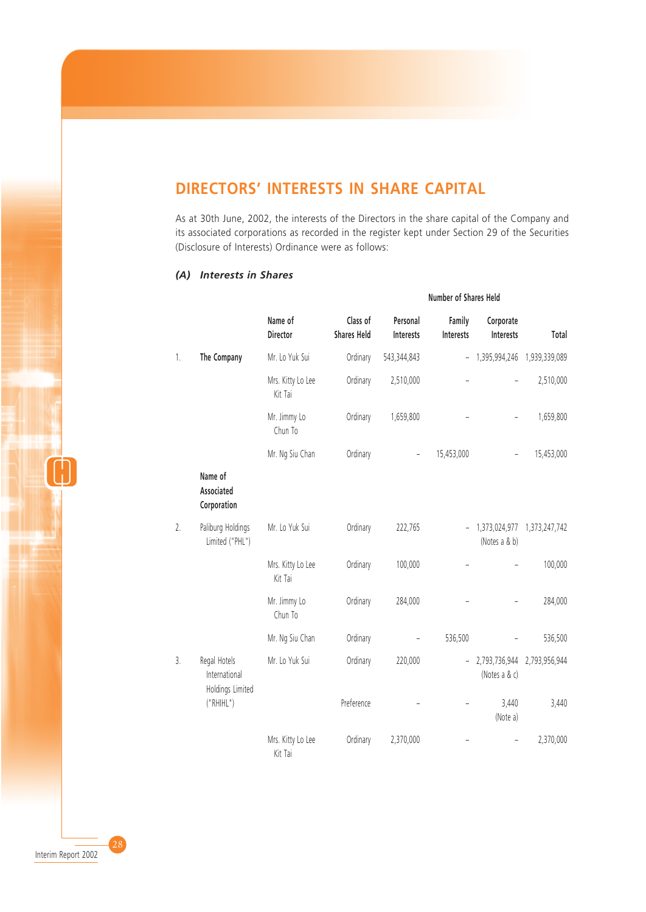## **DIRECTORS' INTERESTS IN SHARE CAPITAL**

As at 30th June, 2002, the interests of the Directors in the share capital of the Company and its associated corporations as recorded in the register kept under Section 29 of the Securities (Disclosure of Interests) Ordinance were as follows:

### *(A) Interests in Shares*

|    |                                                   |                              |                                |                       | Number of Shares Held    |                                                 |               |  |  |  |
|----|---------------------------------------------------|------------------------------|--------------------------------|-----------------------|--------------------------|-------------------------------------------------|---------------|--|--|--|
|    |                                                   | Name of<br><b>Director</b>   | Class of<br><b>Shares Held</b> | Personal<br>Interests | Family<br>Interests      | Corporate<br>Interests                          | Total         |  |  |  |
| 1. | The Company                                       | Mr. Lo Yuk Sui               | Ordinary                       | 543,344,843           |                          | $-1,395,994,246$                                | 1,939,339,089 |  |  |  |
|    |                                                   | Mrs. Kitty Lo Lee<br>Kit Tai | Ordinary                       | 2,510,000             |                          |                                                 | 2,510,000     |  |  |  |
|    |                                                   | Mr. Jimmy Lo<br>Chun To      | Ordinary                       | 1,659,800             |                          |                                                 | 1,659,800     |  |  |  |
|    |                                                   | Mr. Ng Siu Chan              | Ordinary                       |                       | 15,453,000               |                                                 | 15,453,000    |  |  |  |
|    | Name of<br>Associated<br>Corporation              |                              |                                |                       |                          |                                                 |               |  |  |  |
| 2. | Paliburg Holdings<br>Limited ("PHL")              | Mr. Lo Yuk Sui               | Ordinary                       | 222,765               |                          | $-1,373,024,977$ 1,373,247,742<br>(Notes a & b) |               |  |  |  |
|    |                                                   | Mrs. Kitty Lo Lee<br>Kit Tai | Ordinary                       | 100,000               |                          |                                                 | 100,000       |  |  |  |
|    |                                                   | Mr. Jimmy Lo<br>Chun To      | Ordinary                       | 284,000               |                          |                                                 | 284,000       |  |  |  |
|    |                                                   | Mr. Ng Siu Chan              | Ordinary                       |                       | 536,500                  |                                                 | 536,500       |  |  |  |
| 3. | Regal Hotels<br>International<br>Holdings Limited | Mr. Lo Yuk Sui               | Ordinary                       | 220,000               | $\overline{\phantom{a}}$ | 2,793,736,944<br>(Notes a & c)                  | 2,793,956,944 |  |  |  |
|    | ("RHHL")                                          |                              | Preference                     |                       |                          | 3,440<br>(Note a)                               | 3,440         |  |  |  |
|    |                                                   | Mrs. Kitty Lo Lee<br>Kit Tai | Ordinary                       | 2,370,000             |                          |                                                 | 2,370,000     |  |  |  |

 $\prod_{i=1}^{n}$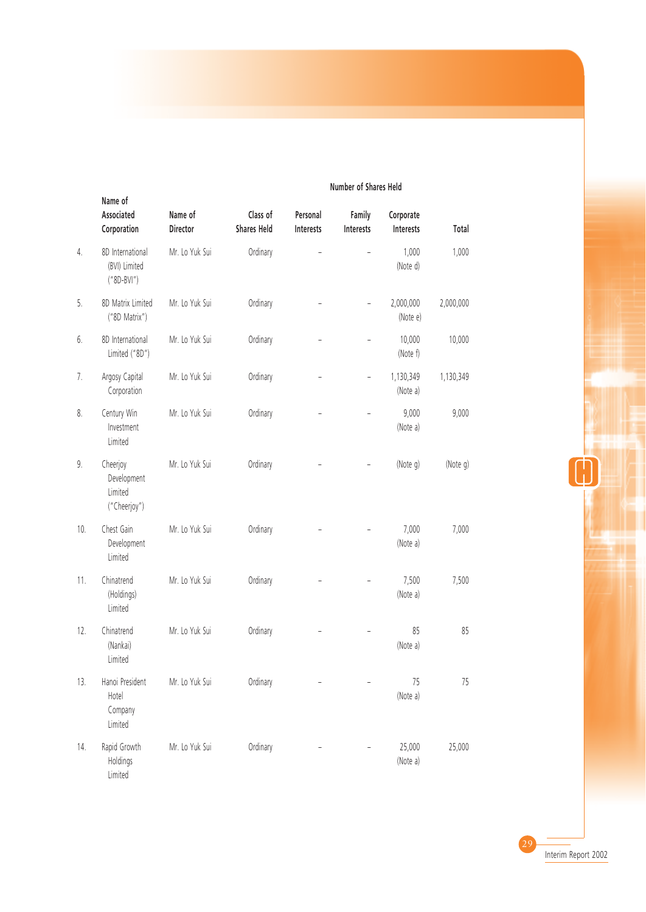|     | Name of                                            |                     |                                |                          |                          |                        |           |
|-----|----------------------------------------------------|---------------------|--------------------------------|--------------------------|--------------------------|------------------------|-----------|
|     | Associated<br>Corporation                          | Name of<br>Director | Class of<br><b>Shares Held</b> | Personal<br>Interests    | Family<br>Interests      | Corporate<br>Interests | Total     |
| 4.  | 8D International<br>(BVI) Limited<br>$("8D-BVI")$  | Mr. Lo Yuk Sui      | Ordinary                       |                          |                          | 1,000<br>(Note d)      | 1,000     |
| 5.  | 8D Matrix Limited<br>("8D Matrix")                 | Mr. Lo Yuk Sui      | Ordinary                       |                          |                          | 2,000,000<br>(Note e)  | 2,000,000 |
| 6.  | 8D International<br>Limited ("8D")                 | Mr. Lo Yuk Sui      | Ordinary                       |                          | $\overline{a}$           | 10,000<br>(Note f)     | 10,000    |
| 7.  | Argosy Capital<br>Corporation                      | Mr. Lo Yuk Sui      | Ordinary                       | $\overline{\phantom{0}}$ | $\overline{\phantom{a}}$ | 1,130,349<br>(Note a)  | 1,130,349 |
| 8.  | Century Win<br>Investment<br>Limited               | Mr. Lo Yuk Sui      | Ordinary                       |                          |                          | 9,000<br>(Note a)      | 9,000     |
| 9.  | Cheerjoy<br>Development<br>Limited<br>("Cheerjoy") | Mr. Lo Yuk Sui      | Ordinary                       |                          |                          | (Note g)               | (Note g)  |
| 10. | Chest Gain<br>Development<br>Limited               | Mr. Lo Yuk Sui      | Ordinary                       |                          |                          | 7,000<br>(Note a)      | 7,000     |
| 11. | Chinatrend<br>(Holdings)<br>Limited                | Mr. Lo Yuk Sui      | Ordinary                       |                          |                          | 7,500<br>(Note a)      | 7,500     |
| 12. | Chinatrend<br>(Nankai)<br>Limited                  | Mr. Lo Yuk Sui      | Ordinary                       |                          |                          | 85<br>(Note a)         | 85        |
| 13. | Hanoi President<br>Hotel<br>Company<br>Limited     | Mr. Lo Yuk Sui      | Ordinary                       |                          |                          | 75<br>(Note a)         | 75        |
| 14. | Rapid Growth<br>Holdings<br>Limited                | Mr. Lo Yuk Sui      | Ordinary                       |                          |                          | 25,000<br>(Note a)     | 25,000    |

### **Number of Shares Held**

H

 $\overline{2}$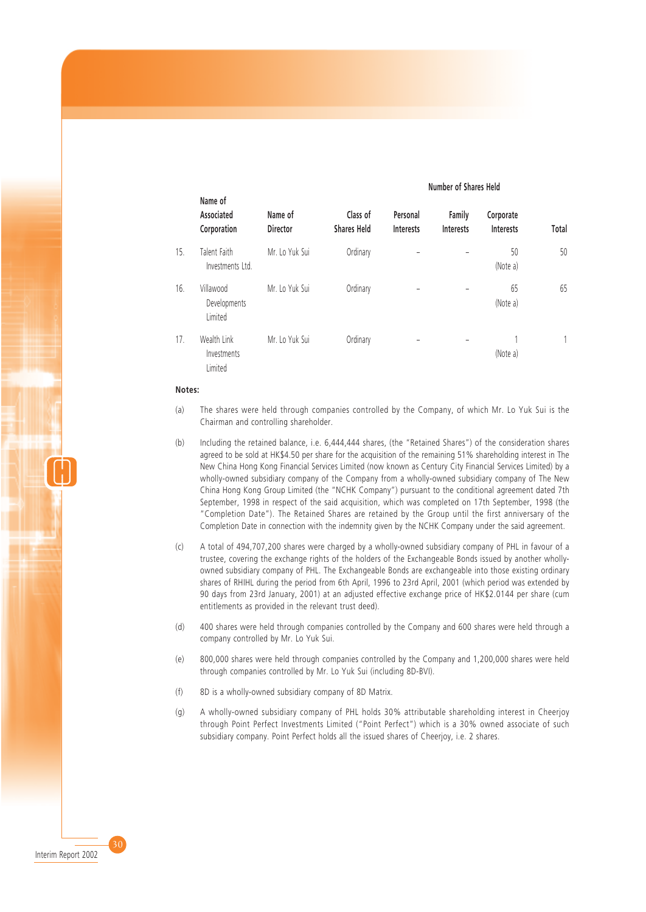|     | Name of<br>Associated<br>Corporation  | Name of<br><b>Director</b> | Class of<br><b>Shares Held</b> | Personal<br>Interests | Family<br>Interests | Corporate<br>Interests | Total |
|-----|---------------------------------------|----------------------------|--------------------------------|-----------------------|---------------------|------------------------|-------|
| 15. | Talent Faith<br>Investments Ltd.      | Mr. Lo Yuk Sui             | Ordinary                       |                       |                     | 50<br>(Note a)         | 50    |
| 16. | Villawood<br>Developments<br>Limited  | Mr. Lo Yuk Sui             | Ordinary                       |                       |                     | 65<br>(Note a)         | 65    |
| 17. | Wealth Link<br>Investments<br>Limited | Mr. Lo Yuk Sui             | Ordinary                       |                       |                     | (Note a)               |       |

### **Number of Shares Held**

#### **Notes:**

- (a) The shares were held through companies controlled by the Company, of which Mr. Lo Yuk Sui is the Chairman and controlling shareholder.
- (b) Including the retained balance, i.e. 6,444,444 shares, (the "Retained Shares") of the consideration shares agreed to be sold at HK\$4.50 per share for the acquisition of the remaining 51% shareholding interest in The New China Hong Kong Financial Services Limited (now known as Century City Financial Services Limited) by a wholly-owned subsidiary company of the Company from a wholly-owned subsidiary company of The New China Hong Kong Group Limited (the "NCHK Company") pursuant to the conditional agreement dated 7th September, 1998 in respect of the said acquisition, which was completed on 17th September, 1998 (the "Completion Date"). The Retained Shares are retained by the Group until the first anniversary of the Completion Date in connection with the indemnity given by the NCHK Company under the said agreement.
- (c) A total of 494,707,200 shares were charged by a wholly-owned subsidiary company of PHL in favour of a trustee, covering the exchange rights of the holders of the Exchangeable Bonds issued by another whollyowned subsidiary company of PHL. The Exchangeable Bonds are exchangeable into those existing ordinary shares of RHIHL during the period from 6th April, 1996 to 23rd April, 2001 (which period was extended by 90 days from 23rd January, 2001) at an adjusted effective exchange price of HK\$2.0144 per share (cum entitlements as provided in the relevant trust deed).
- (d) 400 shares were held through companies controlled by the Company and 600 shares were held through a company controlled by Mr. Lo Yuk Sui.
- (e) 800,000 shares were held through companies controlled by the Company and 1,200,000 shares were held through companies controlled by Mr. Lo Yuk Sui (including 8D-BVI).
- (f) 8D is a wholly-owned subsidiary company of 8D Matrix.
- (g) A wholly-owned subsidiary company of PHL holds 30% attributable shareholding interest in Cheerjoy through Point Perfect Investments Limited ("Point Perfect") which is a 30% owned associate of such subsidiary company. Point Perfect holds all the issued shares of Cheerjoy, i.e. 2 shares.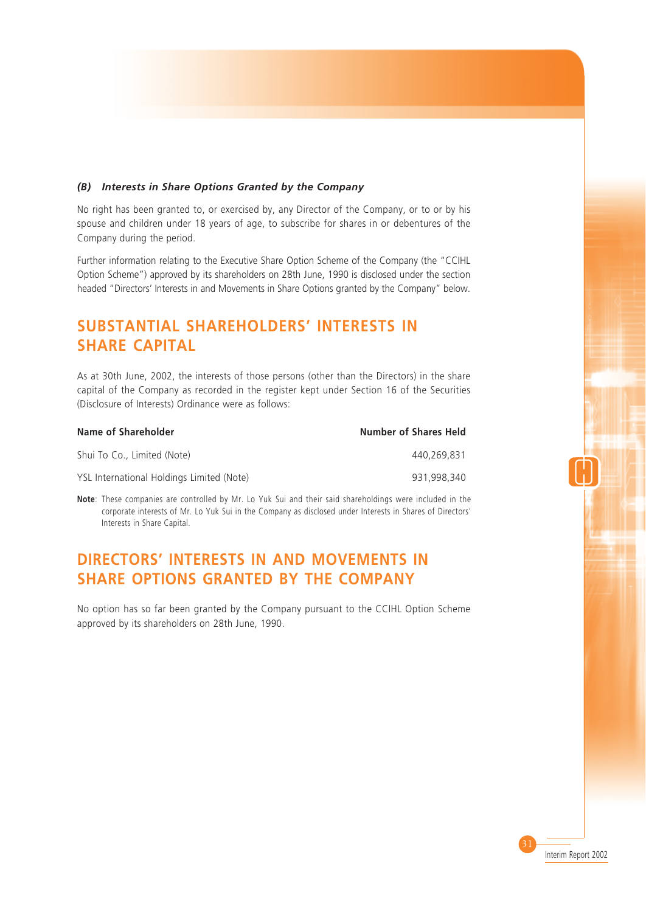### *(B) Interests in Share Options Granted by the Company*

No right has been granted to, or exercised by, any Director of the Company, or to or by his spouse and children under 18 years of age, to subscribe for shares in or debentures of the Company during the period.

Further information relating to the Executive Share Option Scheme of the Company (the "CCIHL Option Scheme") approved by its shareholders on 28th June, 1990 is disclosed under the section headed "Directors' Interests in and Movements in Share Options granted by the Company" below.

# **SUBSTANTIAL SHAREHOLDERS' INTERESTS IN SHARE CAPITAL**

As at 30th June, 2002, the interests of those persons (other than the Directors) in the share capital of the Company as recorded in the register kept under Section 16 of the Securities (Disclosure of Interests) Ordinance were as follows:

| <b>Name of Shareholder</b>                | <b>Number of Shares Held</b> |
|-------------------------------------------|------------------------------|
| Shui To Co., Limited (Note)               | 440.269.831                  |
| YSL International Holdings Limited (Note) | 931.998.340                  |
|                                           |                              |

**Note**: These companies are controlled by Mr. Lo Yuk Sui and their said shareholdings were included in the corporate interests of Mr. Lo Yuk Sui in the Company as disclosed under Interests in Shares of Directors' Interests in Share Capital.

## **DIRECTORS' INTERESTS IN AND MOVEMENTS IN SHARE OPTIONS GRANTED BY THE COMPANY**

No option has so far been granted by the Company pursuant to the CCIHL Option Scheme approved by its shareholders on 28th June, 1990.

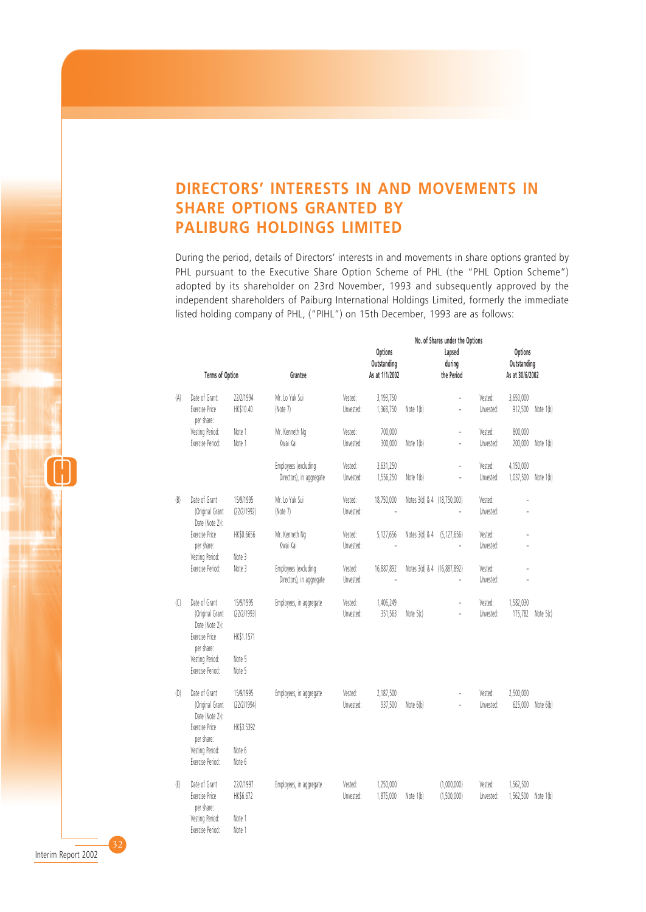# **DIRECTORS' INTERESTS IN AND MOVEMENTS IN SHARE OPTIONS GRANTED BY PALIBURG HOLDINGS LIMITED**

During the period, details of Directors' interests in and movements in share options granted by PHL pursuant to the Executive Share Option Scheme of PHL (the "PHL Option Scheme") adopted by its shareholder on 23rd November, 1993 and subsequently approved by the independent shareholders of Paiburg International Holdings Limited, formerly the immediate listed holding company of PHL, ("PIHL") on 15th December, 1993 are as follows:

. . .

|                           |                                                     |                          |                                                  |                      |                                          |                             | No. of Shares under the Options |                      |                                           |           |
|---------------------------|-----------------------------------------------------|--------------------------|--------------------------------------------------|----------------------|------------------------------------------|-----------------------------|---------------------------------|----------------------|-------------------------------------------|-----------|
|                           | <b>Terms of Option</b>                              |                          | Grantee                                          |                      | Options<br>Outstanding<br>As at 1/1/2002 |                             | Lapsed<br>during<br>the Period  |                      | Options<br>Outstanding<br>As at 30/6/2002 |           |
| (A)                       | Date of Grant:<br>Exercise Price<br>per share:      | 22/2/1994<br>HK\$10.40   | Mr. Lo Yuk Sui<br>(Note 7)                       | Vested:<br>Unvested: | 3,193,750<br>1,368,750                   | Note 1(b)                   | L<br>L,                         | Vested:<br>Unvested: | 3,650,000<br>912,500                      | Note 1(b) |
|                           | Vesting Period:<br>Exercise Period:                 | Note 1<br>Note 1         | Mr. Kenneth Ng<br>Kwai Kai                       | Vested:<br>Unvested: | 700,000<br>300,000                       | Note 1(b)                   | ÷,                              | Vested:<br>Unvested: | 800,000<br>200,000                        | Note 1(b) |
|                           |                                                     |                          | Employees (excluding<br>Directors), in aggregate | Vested:<br>Unvested: | 3,631,250<br>1,556,250                   | Note 1(b)                   | L.                              | Vested:<br>Unvested: | 4,150,000<br>1,037,500                    | Note 1(b) |
| (B)                       | Date of Grant<br>(Original Grant<br>Date (Note 2)): | 15/9/1995<br>(22/2/1992) | Mr. Lo Yuk Sui<br>(Note 7)                       | Vested:<br>Unvested: | 18,750,000                               | Notes 3(d) & 4 (18,750,000) |                                 | Vested:<br>Unvested: | L,<br>L                                   |           |
|                           | Exercise Price<br>per share:<br>Vesting Period:     | HK\$0.6656<br>Note 3     | Mr. Kenneth Ng<br>Kwai Kai                       | Vested:<br>Unvested: | 5,127,656                                | Notes 3(d) & 4              | (5, 127, 656)                   | Vested:<br>Unvested: | L.                                        |           |
|                           | Exercise Period:                                    | Note 3                   | Employees (excluding<br>Directors), in aggregate | Vested:<br>Unvested: | 16.887.892<br>ä,                         | Notes 3(d) & 4 (16,887,892) | ä,                              | Vested:<br>Unvested: | L<br>L                                    |           |
| $\left(\mathsf{C}\right)$ | Date of Grant<br>(Original Grant<br>Date (Note 2)): | 15/9/1995<br>(22/2/1993) | Employees, in aggregate                          | Vested:<br>Unvested: | 1,406,249<br>351,563                     | Note 5(c)                   |                                 | Vested:<br>Unvested: | 1,582,030<br>175,782                      | Note 5(c) |
|                           | Exercise Price<br>per share:                        | HK\$1.1571               |                                                  |                      |                                          |                             |                                 |                      |                                           |           |
|                           | Vesting Period:<br>Exercise Period:                 | Note 5<br>Note 5         |                                                  |                      |                                          |                             |                                 |                      |                                           |           |
| (D)                       | Date of Grant<br>(Original Grant<br>Date (Note 2)): | 15/9/1995<br>(22/2/1994) | Employees, in aggregate                          | Vested:<br>Unvested: | 2,187,500<br>937,500                     | Note 6(b)                   | ä,                              | Vested:<br>Unvested: | 2,500,000<br>625,000                      | Note 6(b) |
|                           | Exercise Price<br>per share:                        | HK\$3.5392               |                                                  |                      |                                          |                             |                                 |                      |                                           |           |
|                           | Vesting Period:<br>Exercise Period:                 | Note 6<br>Note 6         |                                                  |                      |                                          |                             |                                 |                      |                                           |           |
| (E)                       | Date of Grant<br>Exercise Price<br>per share:       | 22/2/1997<br>HK\$6.672   | Employees, in aggregate                          | Vested:<br>Unvested: | 1,250,000<br>1,875,000                   | Note 1(b)                   | (1,000,000)<br>(1,500,000)      | Vested:<br>Unvested: | 1,562,500<br>1,562,500                    | Note 1(b) |
|                           | Vesting Period:<br>Exercise Period:                 | Note 1<br>Note 1         |                                                  |                      |                                          |                             |                                 |                      |                                           |           |

Interim Report 2002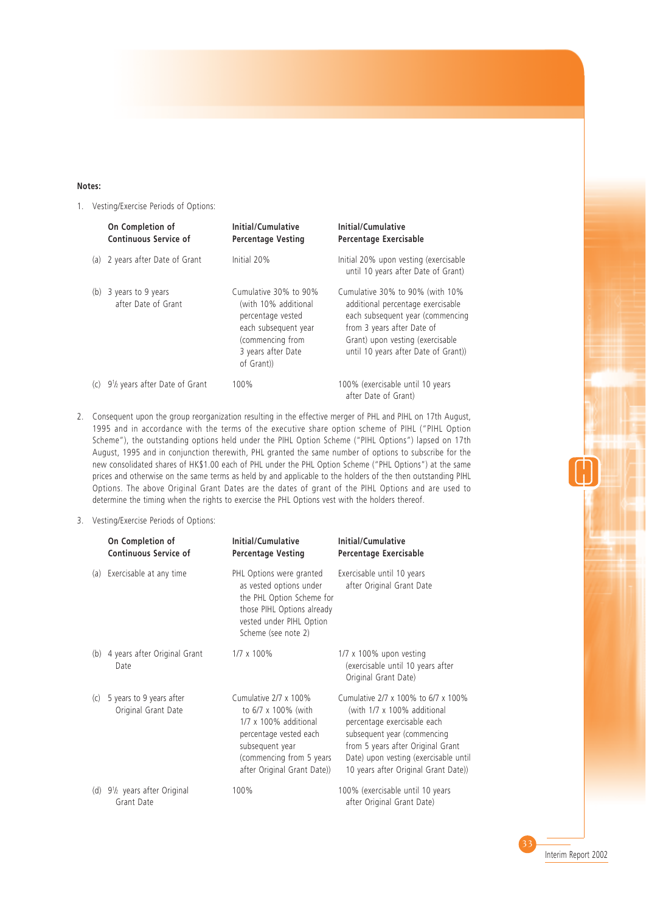#### **Notes:**

1. Vesting/Exercise Periods of Options:

|     | On Completion of<br>Continuous Service of       | Initial/Cumulative<br><b>Percentage Vesting</b>                                                                                                   | Initial/Cumulative<br>Percentage Exercisable                                                                                                                                                                       |
|-----|-------------------------------------------------|---------------------------------------------------------------------------------------------------------------------------------------------------|--------------------------------------------------------------------------------------------------------------------------------------------------------------------------------------------------------------------|
|     | (a) 2 years after Date of Grant                 | Initial 20%                                                                                                                                       | Initial 20% upon vesting (exercisable<br>until 10 years after Date of Grant)                                                                                                                                       |
|     | (b) $3$ years to 9 years<br>after Date of Grant | Cumulative 30% to 90%<br>(with 10% additional<br>percentage vested<br>each subsequent year<br>(commencing from<br>3 years after Date<br>of Grant) | Cumulative 30% to 90% (with 10%<br>additional percentage exercisable<br>each subsequent year (commencing<br>from 3 years after Date of<br>Grant) upon vesting (exercisable<br>until 10 years after Date of Grant)) |
| (C) | $9\%$ years after Date of Grant                 | 100%                                                                                                                                              | 100% (exercisable until 10 years<br>after Date of Grant)                                                                                                                                                           |

- 2. Consequent upon the group reorganization resulting in the effective merger of PHL and PIHL on 17th August, 1995 and in accordance with the terms of the executive share option scheme of PIHL ("PIHL Option Scheme"), the outstanding options held under the PIHL Option Scheme ("PIHL Options") lapsed on 17th August, 1995 and in conjunction therewith, PHL granted the same number of options to subscribe for the new consolidated shares of HK\$1.00 each of PHL under the PHL Option Scheme ("PHL Options") at the same prices and otherwise on the same terms as held by and applicable to the holders of the then outstanding PIHL Options. The above Original Grant Dates are the dates of grant of the PIHL Options and are used to determine the timing when the rights to exercise the PHL Options vest with the holders thereof.
- 3. Vesting/Exercise Periods of Options:

|     | On Completion of<br><b>Continuous Service of</b>      | Initial/Cumulative<br><b>Percentage Vesting</b>                                                                                                                                               | Initial/Cumulative<br>Percentage Exercisable                                                                                                                                                                                                           |
|-----|-------------------------------------------------------|-----------------------------------------------------------------------------------------------------------------------------------------------------------------------------------------------|--------------------------------------------------------------------------------------------------------------------------------------------------------------------------------------------------------------------------------------------------------|
|     | (a) Exercisable at any time                           | PHL Options were granted<br>as vested options under<br>the PHL Option Scheme for<br>those PIHL Options already<br>vested under PIHL Option<br>Scheme (see note 2)                             | Exercisable until 10 years<br>after Original Grant Date                                                                                                                                                                                                |
|     | (b) 4 years after Original Grant<br>Date              | 1/7 x 100%                                                                                                                                                                                    | $1/7 \times 100\%$ upon vesting<br>(exercisable until 10 years after<br>Original Grant Date)                                                                                                                                                           |
| (c) | 5 years to 9 years after<br>Original Grant Date       | Cumulative $2/7 \times 100\%$<br>to 6/7 x 100% (with<br>$1/7 \times 100\%$ additional<br>percentage vested each<br>subsequent year<br>(commencing from 5 years<br>after Original Grant Date)) | Cumulative 2/7 x 100% to 6/7 x 100%<br>(with 1/7 x 100% additional<br>percentage exercisable each<br>subsequent year (commencing<br>from 5 years after Original Grant<br>Date) upon vesting (exercisable until<br>10 years after Original Grant Date)) |
|     | (d) $9\frac{1}{2}$ years after Original<br>Grant Date | 100%                                                                                                                                                                                          | 100% (exercisable until 10 years<br>after Original Grant Date)                                                                                                                                                                                         |

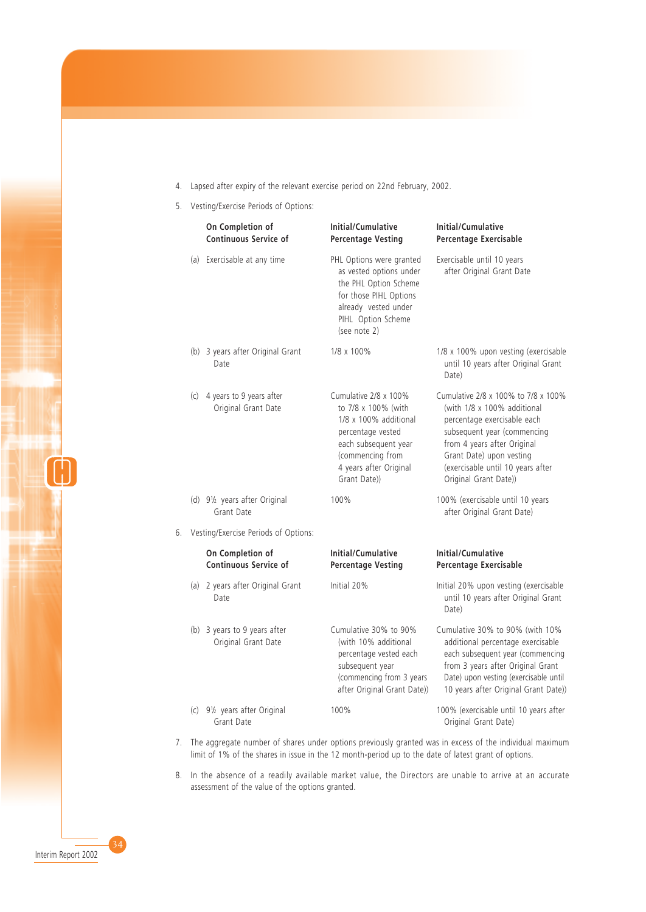- 4. Lapsed after expiry of the relevant exercise period on 22nd February, 2002.
- 5. Vesting/Exercise Periods of Options:

|    | On Completion of<br>Continuous Service of           | Initial/Cumulative<br><b>Percentage Vesting</b>                                                                                                                                  | Initial/Cumulative<br>Percentage Exercisable                                                                                                                                                                                                              |
|----|-----------------------------------------------------|----------------------------------------------------------------------------------------------------------------------------------------------------------------------------------|-----------------------------------------------------------------------------------------------------------------------------------------------------------------------------------------------------------------------------------------------------------|
|    | (a) Exercisable at any time                         | PHL Options were granted<br>as vested options under<br>the PHL Option Scheme<br>for those PIHL Options<br>already vested under<br>PIHL Option Scheme<br>(see note 2)             | Exercisable until 10 years<br>after Original Grant Date                                                                                                                                                                                                   |
|    | (b) 3 years after Original Grant<br>Date            | 1/8 x 100%                                                                                                                                                                       | 1/8 x 100% upon vesting (exercisable<br>until 10 years after Original Grant<br>Date)                                                                                                                                                                      |
|    | (c) 4 years to 9 years after<br>Original Grant Date | Cumulative 2/8 x 100%<br>to 7/8 x 100% (with<br>1/8 x 100% additional<br>percentage vested<br>each subsequent year<br>(commencing from<br>4 years after Original<br>Grant Date)) | Cumulative 2/8 x 100% to 7/8 x 100%<br>(with 1/8 x 100% additional<br>percentage exercisable each<br>subsequent year (commencing<br>from 4 years after Original<br>Grant Date) upon vesting<br>(exercisable until 10 years after<br>Original Grant Date)) |
|    | (d) 91/2 years after Original<br>Grant Date         | 100%                                                                                                                                                                             | 100% (exercisable until 10 years<br>after Original Grant Date)                                                                                                                                                                                            |
| 6. | Vesting/Exercise Periods of Options:                |                                                                                                                                                                                  |                                                                                                                                                                                                                                                           |
|    | On Completion of<br>Continuous Service of           | Initial/Cumulative<br><b>Percentage Vesting</b>                                                                                                                                  | Initial/Cumulative<br>Percentage Exercisable                                                                                                                                                                                                              |
|    | (a) 2 years after Original Grant<br>Date            | Initial 20%                                                                                                                                                                      | Initial 20% upon vesting (exercisable<br>until 10 years after Original Grant<br>Date)                                                                                                                                                                     |
|    | (b) 3 years to 9 years after<br>Original Grant Date | Cumulative 30% to 90%<br>(with 10% additional<br>percentage vested each<br>subsequent year<br>(commencing from 3 years<br>after Original Grant Date))                            | Cumulative 30% to 90% (with 10%<br>additional percentage exercisable<br>each subsequent year (commencing<br>from 3 years after Original Grant<br>Date) upon vesting (exercisable until<br>10 years after Original Grant Date))                            |
|    | (c) 91/2 years after Original<br>Grant Date         | 100%                                                                                                                                                                             | 100% (exercisable until 10 years after<br>Original Grant Date)                                                                                                                                                                                            |
| 7  |                                                     |                                                                                                                                                                                  | The aggregate number of shares under options previously granted was in excess of the individual maximum                                                                                                                                                   |

7. The aggregate number of shares under options previously granted was in excess of the individual maximum limit of 1% of the shares in issue in the 12 month-period up to the date of latest grant of options.

8. In the absence of a readily available market value, the Directors are unable to arrive at an accurate assessment of the value of the options granted.

ī,

 $\overline{\mathbb{G}}$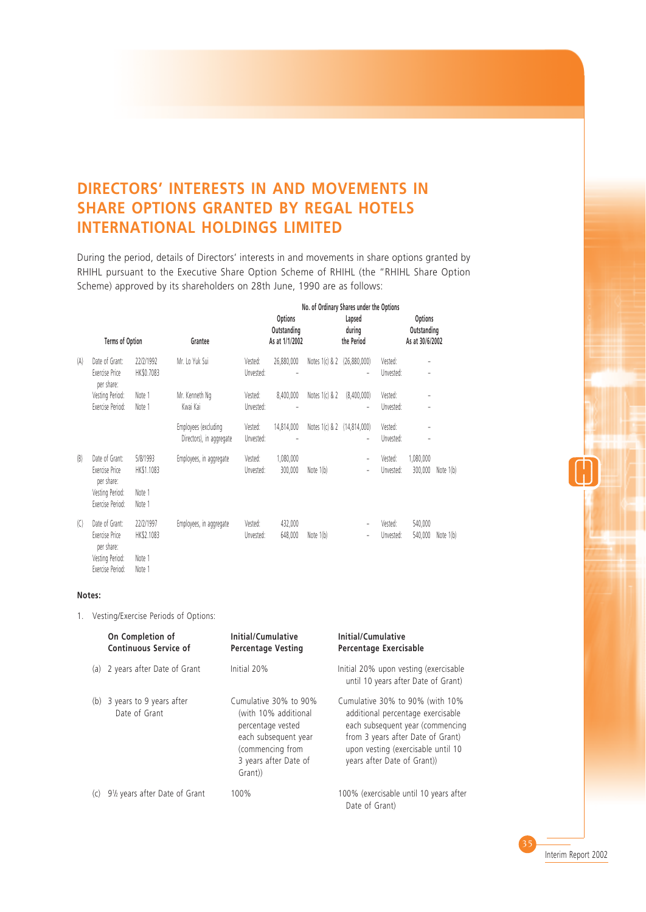# **DIRECTORS' INTERESTS IN AND MOVEMENTS IN SHARE OPTIONS GRANTED BY REGAL HOTELS INTERNATIONAL HOLDINGS LIMITED**

During the period, details of Directors' interests in and movements in share options granted by RHIHL pursuant to the Executive Share Option Scheme of RHIHL (the "RHIHL Share Option Scheme) approved by its shareholders on 28th June, 1990 are as follows:

|     |                                                                                       |                                             | No. of Ordinary Shares under the Options         |                      |                                          |                  |                                                      |                      |                                           |           |
|-----|---------------------------------------------------------------------------------------|---------------------------------------------|--------------------------------------------------|----------------------|------------------------------------------|------------------|------------------------------------------------------|----------------------|-------------------------------------------|-----------|
|     | <b>Terms of Option</b>                                                                |                                             | Grantee                                          |                      | Options<br>Outstanding<br>As at 1/1/2002 |                  | Lapsed<br>during<br>the Period                       |                      | Options<br>Outstanding<br>As at 30/6/2002 |           |
| (A) | Date of Grant:<br>Exercise Price<br>per share:                                        | 22/2/1992<br>HK\$0.7083                     | Mr. Lo Yuk Sui                                   | Vested:<br>Unvested: | 26,880,000                               | Notes $1(c)$ & 2 | (26,880,000)                                         | Vested:<br>Unvested: | ۰                                         |           |
|     | Vesting Period:<br>Exercise Period:                                                   | Note 1<br>Note 1                            | Mr. Kenneth Ng<br>Kwai Kai                       | Vested:<br>Unvested: | 8,400,000                                | Notes $1(c)$ & 2 | (8,400,000)                                          | Vested:<br>Unvested: |                                           |           |
|     |                                                                                       |                                             | Employees (excluding<br>Directors), in aggregate | Vested:<br>Unvested: | 14,814,000                               | Notes $1(c)$ & 2 | (14,814,000)<br>-                                    | Vested:<br>Unvested: | ۰                                         |           |
| (B) | Date of Grant:<br>Exercise Price<br>per share:<br>Vesting Period:<br>Exercise Period: | 5/8/1993<br>HK\$1.1083<br>Note 1<br>Note 1  | Employees, in aggregate                          | Vested:<br>Unvested: | 1,080,000<br>300,000                     | Note 1(b)        | $\overline{\phantom{a}}$<br>$\overline{\phantom{0}}$ | Vested:<br>Unvested: | 1,080,000<br>300,000                      | Note 1(b) |
| (C) | Date of Grant:<br>Exercise Price<br>per share:<br>Vesting Period:<br>Exercise Period: | 22/2/1997<br>HK\$2.1083<br>Note 1<br>Note 1 | Employees, in aggregate                          | Vested:<br>Unvested: | 432,000<br>648,000                       | Note 1(b)        | $\qquad \qquad -$<br>$\qquad \qquad -$               | Vested:<br>Unvested: | 540,000<br>540,000                        | Note 1(b) |

#### **Notes:**

1. Vesting/Exercise Periods of Options:

| On Completion of<br>Continuous Service of       | Initial/Cumulative<br><b>Percentage Vesting</b>                                                                                                   | Initial/Cumulative<br>Percentage Exercisable                                                                                                                                                                       |
|-------------------------------------------------|---------------------------------------------------------------------------------------------------------------------------------------------------|--------------------------------------------------------------------------------------------------------------------------------------------------------------------------------------------------------------------|
| 2 years after Date of Grant<br>(a)              | Initial 20%                                                                                                                                       | Initial 20% upon vesting (exercisable<br>until 10 years after Date of Grant)                                                                                                                                       |
| (b) $3$ years to 9 years after<br>Date of Grant | Cumulative 30% to 90%<br>(with 10% additional<br>percentage vested<br>each subsequent year<br>(commencing from<br>3 years after Date of<br>Grant) | Cumulative 30% to 90% (with 10%<br>additional percentage exercisable<br>each subsequent year (commencing<br>from 3 years after Date of Grant)<br>upon vesting (exercisable until 10<br>years after Date of Grant)) |
| $9\%$ years after Date of Grant<br>(c)          | 100%                                                                                                                                              | 100% (exercisable until 10 years after<br>Date of Grant)                                                                                                                                                           |

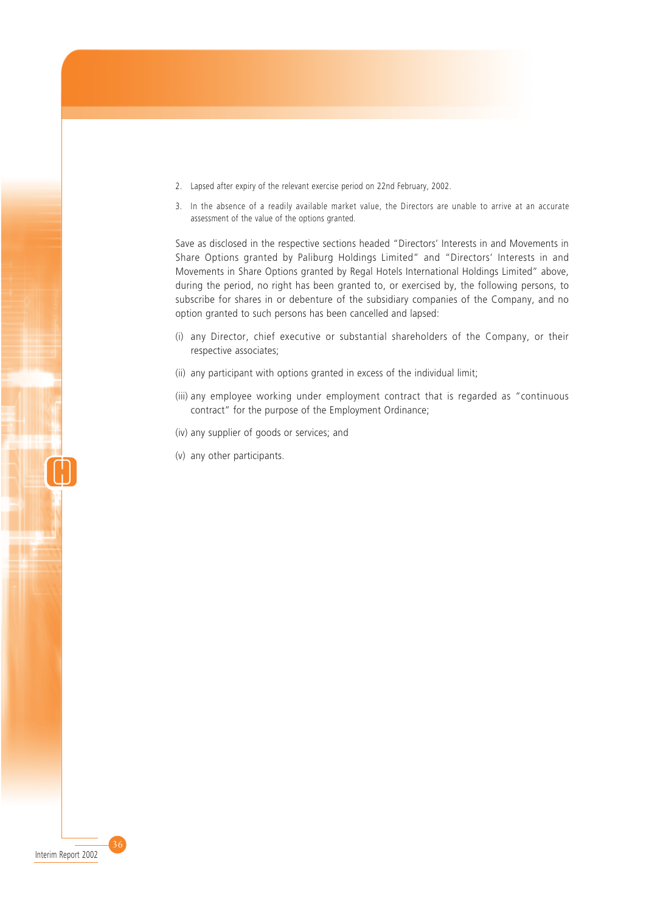- 2. Lapsed after expiry of the relevant exercise period on 22nd February, 2002.
- 3. In the absence of a readily available market value, the Directors are unable to arrive at an accurate assessment of the value of the options granted.

Save as disclosed in the respective sections headed "Directors' Interests in and Movements in Share Options granted by Paliburg Holdings Limited" and "Directors' Interests in and Movements in Share Options granted by Regal Hotels International Holdings Limited" above, during the period, no right has been granted to, or exercised by, the following persons, to subscribe for shares in or debenture of the subsidiary companies of the Company, and no option granted to such persons has been cancelled and lapsed:

- (i) any Director, chief executive or substantial shareholders of the Company, or their respective associates;
- (ii) any participant with options granted in excess of the individual limit;
- (iii) any employee working under employment contract that is regarded as "continuous contract" for the purpose of the Employment Ordinance;
- (iv) any supplier of goods or services; and
- (v) any other participants.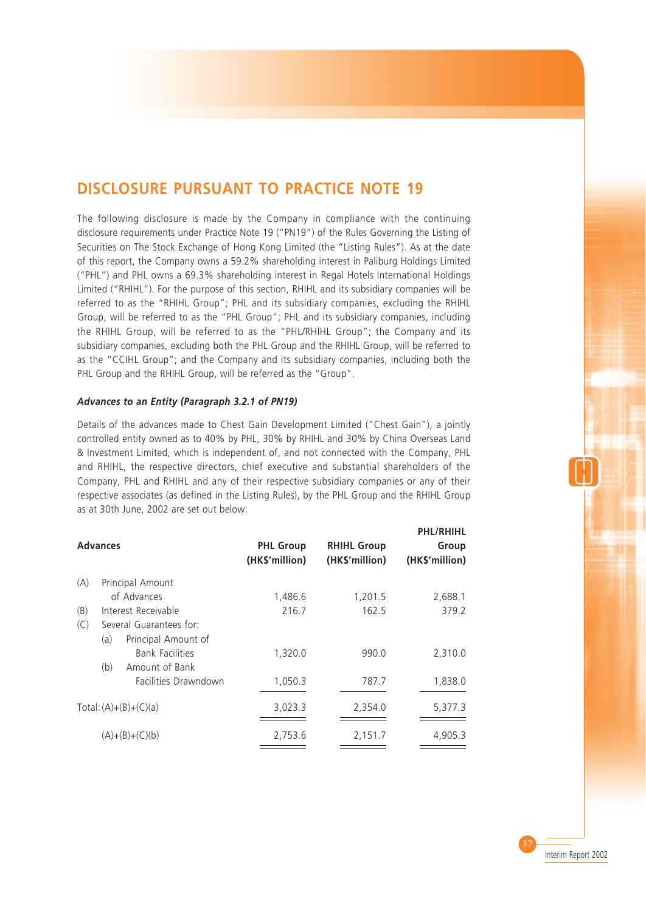## **DISCLOSURE PURSUANT TO PRACTICE NOTE 19**

The following disclosure is made by the Company in compliance with the continuing disclosure requirements under Practice Note 19 ("PN19") of the Rules Governing the Listing of Securities on The Stock Exchange of Hong Kong Limited (the "Listing Rules"). As at the date of this report, the Company owns a 59.2% shareholding interest in Paliburg Holdings Limited ("PHL") and PHL owns a 69.3% shareholding interest in Regal Hotels International Holdings Limited ("RHIHL"). For the purpose of this section, RHIHL and its subsidiary companies will be referred to as the "RHIHL Group"; PHL and its subsidiary companies, excluding the RHIHL Group, will be referred to as the "PHL Group"; PHL and its subsidiary companies, including the RHIHL Group, will be referred to as the "PHL/RHIHL Group"; the Company and its subsidiary companies, excluding both the PHL Group and the RHIHL Group, will be referred to as the "CCIHL Group"; and the Company and its subsidiary companies, including both the PHL Group and the RHIHL Group, will be referred as the "Group".

### *Advances to an Entity (Paragraph 3.2.1 of PN19)*

Details of the advances made to Chest Gain Development Limited ("Chest Gain"), a jointly controlled entity owned as to 40% by PHL, 30% by RHIHL and 30% by China Overseas Land & Investment Limited, which is independent of, and not connected with the Company, PHL and RHIHL, the respective directors, chief executive and substantial shareholders of the Company, PHL and RHIHL and any of their respective subsidiary companies or any of their respective associates (as defined in the Listing Rules), by the PHL Group and the RHIHL Group as at 30th June, 2002 are set out below:

|     | <b>Advances</b>            | <b>PHL Group</b><br>(HK\$'million) | <b>RHIHL Group</b><br>(HK\$'million) | <b>PHL/RHIHL</b><br>Group<br>(HK\$'million) |
|-----|----------------------------|------------------------------------|--------------------------------------|---------------------------------------------|
| (A) | Principal Amount           |                                    |                                      |                                             |
|     | of Advances                | 1,486.6                            | 1,201.5                              | 2,688.1                                     |
| (B) | Interest Receivable        | 216.7                              | 162.5                                | 379.2                                       |
| (C) | Several Guarantees for:    |                                    |                                      |                                             |
|     | Principal Amount of<br>(a) |                                    |                                      |                                             |
|     | <b>Bank Facilities</b>     | 1,320.0                            | 990.0                                | 2,310.0                                     |
|     | Amount of Bank<br>(b)      |                                    |                                      |                                             |
|     | Facilities Drawndown       | 1,050.3                            | 787.7                                | 1,838.0                                     |
|     | Total: $(A)+(B)+(C)(a)$    | 3,023.3                            | 2,354.0                              | 5,377.3                                     |
|     | $(A)+(B)+(C)(b)$           | 2,753.6                            | 2,151.7                              | 4,905.3                                     |

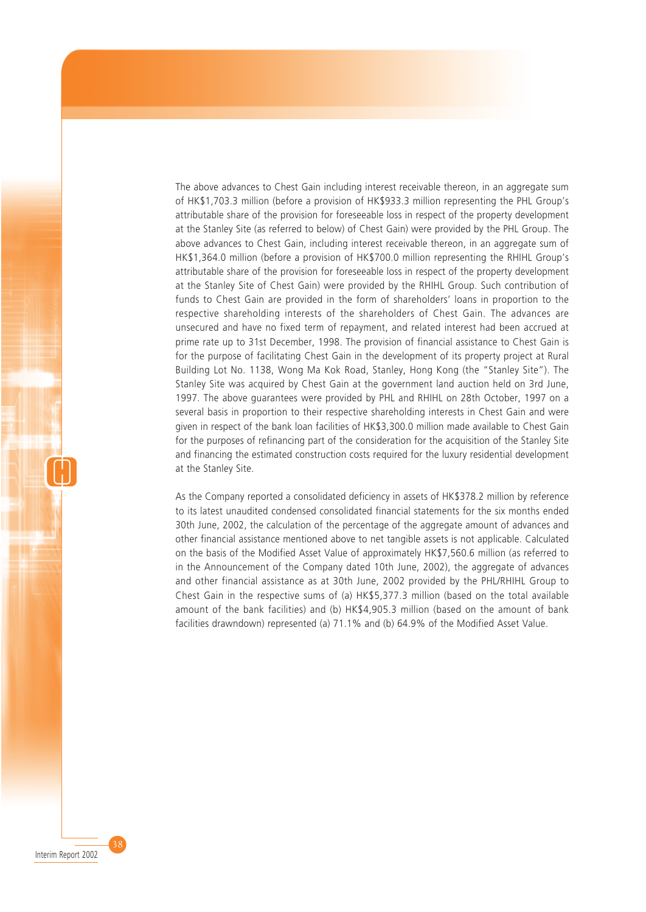The above advances to Chest Gain including interest receivable thereon, in an aggregate sum of HK\$1,703.3 million (before a provision of HK\$933.3 million representing the PHL Group's attributable share of the provision for foreseeable loss in respect of the property development at the Stanley Site (as referred to below) of Chest Gain) were provided by the PHL Group. The above advances to Chest Gain, including interest receivable thereon, in an aggregate sum of HK\$1,364.0 million (before a provision of HK\$700.0 million representing the RHIHL Group's attributable share of the provision for foreseeable loss in respect of the property development at the Stanley Site of Chest Gain) were provided by the RHIHL Group. Such contribution of funds to Chest Gain are provided in the form of shareholders' loans in proportion to the respective shareholding interests of the shareholders of Chest Gain. The advances are unsecured and have no fixed term of repayment, and related interest had been accrued at prime rate up to 31st December, 1998. The provision of financial assistance to Chest Gain is for the purpose of facilitating Chest Gain in the development of its property project at Rural Building Lot No. 1138, Wong Ma Kok Road, Stanley, Hong Kong (the "Stanley Site"). The Stanley Site was acquired by Chest Gain at the government land auction held on 3rd June, 1997. The above guarantees were provided by PHL and RHIHL on 28th October, 1997 on a several basis in proportion to their respective shareholding interests in Chest Gain and were given in respect of the bank loan facilities of HK\$3,300.0 million made available to Chest Gain for the purposes of refinancing part of the consideration for the acquisition of the Stanley Site and financing the estimated construction costs required for the luxury residential development at the Stanley Site.

As the Company reported a consolidated deficiency in assets of HK\$378.2 million by reference to its latest unaudited condensed consolidated financial statements for the six months ended 30th June, 2002, the calculation of the percentage of the aggregate amount of advances and other financial assistance mentioned above to net tangible assets is not applicable. Calculated on the basis of the Modified Asset Value of approximately HK\$7,560.6 million (as referred to in the Announcement of the Company dated 10th June, 2002), the aggregate of advances and other financial assistance as at 30th June, 2002 provided by the PHL/RHIHL Group to Chest Gain in the respective sums of (a) HK\$5,377.3 million (based on the total available amount of the bank facilities) and (b) HK\$4,905.3 million (based on the amount of bank facilities drawndown) represented (a) 71.1% and (b) 64.9% of the Modified Asset Value.

Interim Report 2002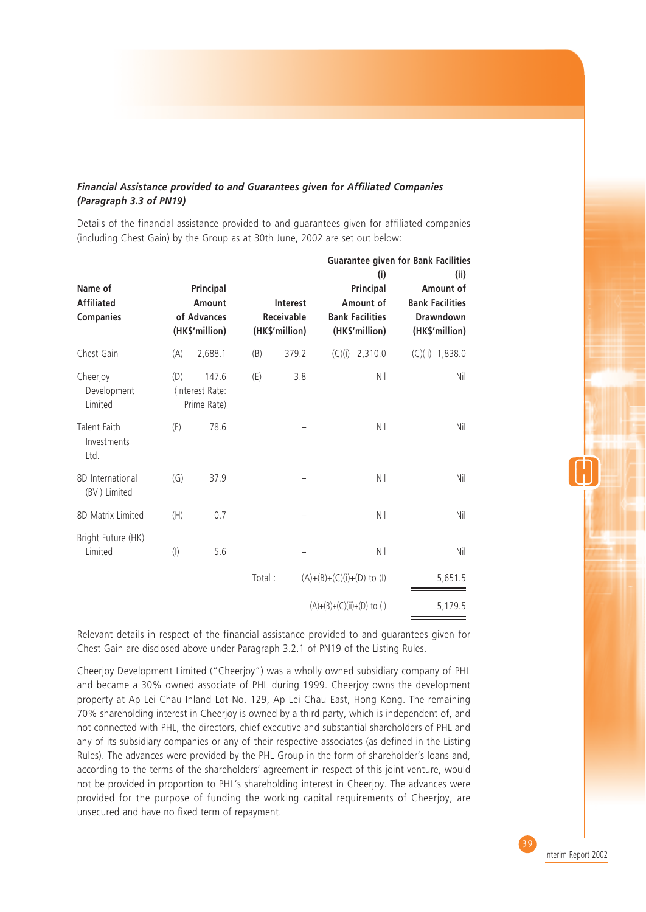### *Financial Assistance provided to and Guarantees given for Affiliated Companies (Paragraph 3.3 of PN19)*

Details of the financial assistance provided to and guarantees given for affiliated companies (including Chest Gain) by the Group as at 30th June, 2002 are set out below:

| Name of<br><b>Affiliated</b><br><b>Companies</b> |           | Principal<br>Amount<br>of Advances<br>(HK\$'million) | <b>Interest</b><br><b>Receivable</b><br>(HK\$'million) |       | (i)<br>Principal<br>Amount of<br><b>Bank Facilities</b><br>(HK\$'million) | <b>Guarantee given for Bank Facilities</b><br>(ii)<br>Amount of<br><b>Bank Facilities</b><br>Drawndown<br>(HK\$'million) |
|--------------------------------------------------|-----------|------------------------------------------------------|--------------------------------------------------------|-------|---------------------------------------------------------------------------|--------------------------------------------------------------------------------------------------------------------------|
| Chest Gain                                       | (A)       | 2,688.1                                              | (B)                                                    | 379.2 | (C)(i)<br>2,310.0                                                         | $(C)(ii)$ 1,838.0                                                                                                        |
| Cheerjoy<br>Development<br>Limited               | (D)       | 147.6<br>(Interest Rate:<br>Prime Rate)              | (E)                                                    | 3.8   | Nil                                                                       | Nil                                                                                                                      |
| <b>Talent Faith</b><br>Investments<br>Ltd.       | (F)       | 78.6                                                 |                                                        |       | Nil                                                                       | Nil                                                                                                                      |
| 8D International<br>(BVI) Limited                | (G)       | 37.9                                                 |                                                        |       | Nil                                                                       | Nil                                                                                                                      |
| 8D Matrix Limited                                | (H)       | 0.7                                                  |                                                        |       | Nil                                                                       | Nil                                                                                                                      |
| Bright Future (HK)<br>Limited                    | $($ l $)$ | 5.6                                                  |                                                        |       | Nil                                                                       | Nil                                                                                                                      |
|                                                  |           |                                                      | Total:                                                 |       | $(A)+(B)+(C)(i)+(D)$ to (I)                                               | 5,651.5                                                                                                                  |
|                                                  |           |                                                      |                                                        |       | $(A)+(B)+(C)(ii)+(D)$ to (I)                                              | 5,179.5                                                                                                                  |

Relevant details in respect of the financial assistance provided to and guarantees given for Chest Gain are disclosed above under Paragraph 3.2.1 of PN19 of the Listing Rules.

Cheerjoy Development Limited ("Cheerjoy") was a wholly owned subsidiary company of PHL and became a 30% owned associate of PHL during 1999. Cheerjoy owns the development property at Ap Lei Chau Inland Lot No. 129, Ap Lei Chau East, Hong Kong. The remaining 70% shareholding interest in Cheerjoy is owned by a third party, which is independent of, and not connected with PHL, the directors, chief executive and substantial shareholders of PHL and any of its subsidiary companies or any of their respective associates (as defined in the Listing Rules). The advances were provided by the PHL Group in the form of shareholder's loans and, according to the terms of the shareholders' agreement in respect of this joint venture, would not be provided in proportion to PHL's shareholding interest in Cheerjoy. The advances were provided for the purpose of funding the working capital requirements of Cheerjoy, are unsecured and have no fixed term of repayment.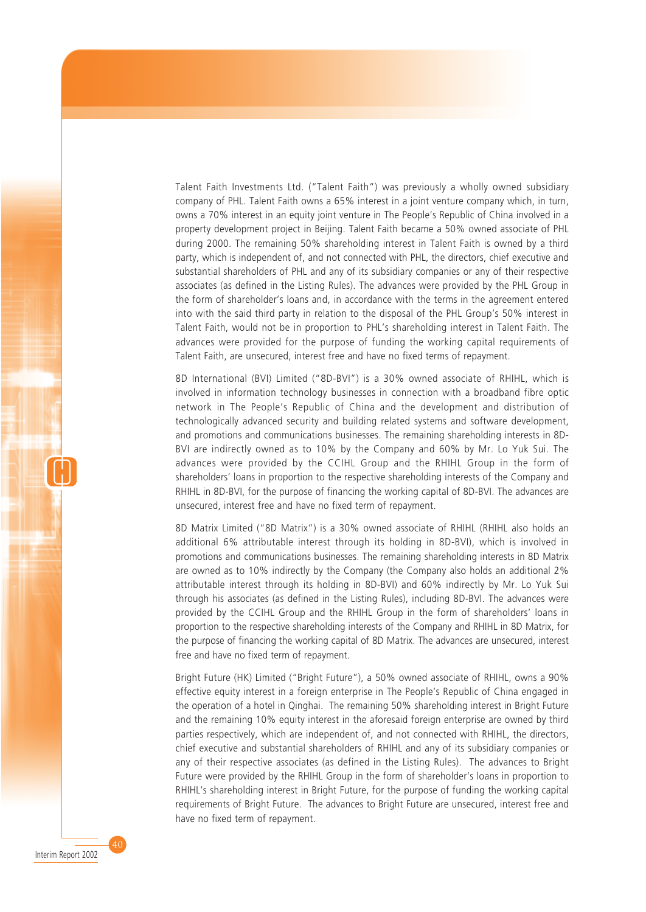Talent Faith Investments Ltd. ("Talent Faith") was previously a wholly owned subsidiary company of PHL. Talent Faith owns a 65% interest in a joint venture company which, in turn, owns a 70% interest in an equity joint venture in The People's Republic of China involved in a property development project in Beijing. Talent Faith became a 50% owned associate of PHL during 2000. The remaining 50% shareholding interest in Talent Faith is owned by a third party, which is independent of, and not connected with PHL, the directors, chief executive and substantial shareholders of PHL and any of its subsidiary companies or any of their respective associates (as defined in the Listing Rules). The advances were provided by the PHL Group in the form of shareholder's loans and, in accordance with the terms in the agreement entered into with the said third party in relation to the disposal of the PHL Group's 50% interest in Talent Faith, would not be in proportion to PHL's shareholding interest in Talent Faith. The advances were provided for the purpose of funding the working capital requirements of Talent Faith, are unsecured, interest free and have no fixed terms of repayment.

8D International (BVI) Limited ("8D-BVI") is a 30% owned associate of RHIHL, which is involved in information technology businesses in connection with a broadband fibre optic network in The People's Republic of China and the development and distribution of technologically advanced security and building related systems and software development, and promotions and communications businesses. The remaining shareholding interests in 8D-BVI are indirectly owned as to 10% by the Company and 60% by Mr. Lo Yuk Sui. The advances were provided by the CCIHL Group and the RHIHL Group in the form of shareholders' loans in proportion to the respective shareholding interests of the Company and RHIHL in 8D-BVI, for the purpose of financing the working capital of 8D-BVI. The advances are unsecured, interest free and have no fixed term of repayment.

8D Matrix Limited ("8D Matrix") is a 30% owned associate of RHIHL (RHIHL also holds an additional 6% attributable interest through its holding in 8D-BVI), which is involved in promotions and communications businesses. The remaining shareholding interests in 8D Matrix are owned as to 10% indirectly by the Company (the Company also holds an additional 2% attributable interest through its holding in 8D-BVI) and 60% indirectly by Mr. Lo Yuk Sui through his associates (as defined in the Listing Rules), including 8D-BVI. The advances were provided by the CCIHL Group and the RHIHL Group in the form of shareholders' loans in proportion to the respective shareholding interests of the Company and RHIHL in 8D Matrix, for the purpose of financing the working capital of 8D Matrix. The advances are unsecured, interest free and have no fixed term of repayment.

Bright Future (HK) Limited ("Bright Future"), a 50% owned associate of RHIHL, owns a 90% effective equity interest in a foreign enterprise in The People's Republic of China engaged in the operation of a hotel in Qinghai. The remaining 50% shareholding interest in Bright Future and the remaining 10% equity interest in the aforesaid foreign enterprise are owned by third parties respectively, which are independent of, and not connected with RHIHL, the directors, chief executive and substantial shareholders of RHIHL and any of its subsidiary companies or any of their respective associates (as defined in the Listing Rules). The advances to Bright Future were provided by the RHIHL Group in the form of shareholder's loans in proportion to RHIHL's shareholding interest in Bright Future, for the purpose of funding the working capital requirements of Bright Future. The advances to Bright Future are unsecured, interest free and have no fixed term of repayment.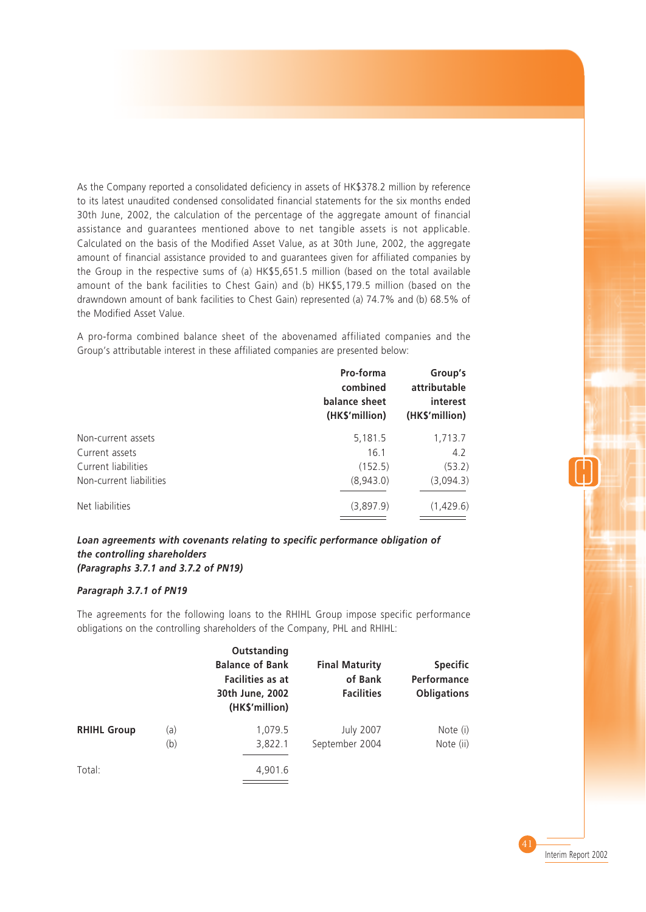As the Company reported a consolidated deficiency in assets of HK\$378.2 million by reference to its latest unaudited condensed consolidated financial statements for the six months ended 30th June, 2002, the calculation of the percentage of the aggregate amount of financial assistance and guarantees mentioned above to net tangible assets is not applicable. Calculated on the basis of the Modified Asset Value, as at 30th June, 2002, the aggregate amount of financial assistance provided to and guarantees given for affiliated companies by the Group in the respective sums of (a) HK\$5,651.5 million (based on the total available amount of the bank facilities to Chest Gain) and (b) HK\$5,179.5 million (based on the drawndown amount of bank facilities to Chest Gain) represented (a) 74.7% and (b) 68.5% of the Modified Asset Value.

A pro-forma combined balance sheet of the abovenamed affiliated companies and the Group's attributable interest in these affiliated companies are presented below:

|                         | Pro-forma<br>combined<br>balance sheet<br>(HK\$'million) | Group's<br>attributable<br>interest<br>(HK\$'million) |
|-------------------------|----------------------------------------------------------|-------------------------------------------------------|
| Non-current assets      | 5,181.5                                                  | 1,713.7                                               |
| Current assets          | 16.1                                                     | 4.2                                                   |
| Current liabilities     | (152.5)                                                  | (53.2)                                                |
| Non-current liabilities | (8,943.0)                                                | (3,094.3)                                             |
| Net liabilities         | (3,897.9)                                                | (1,429.6)                                             |

### *Loan agreements with covenants relating to specific performance obligation of the controlling shareholders (Paragraphs 3.7.1 and 3.7.2 of PN19)*

### *Paragraph 3.7.1 of PN19*

The agreements for the following loans to the RHIHL Group impose specific performance obligations on the controlling shareholders of the Company, PHL and RHIHL:

|                    |            | Outstanding<br><b>Balance of Bank</b><br>Facilities as at<br>30th June, 2002<br>(HK\$'million) | <b>Final Maturity</b><br>of Bank<br><b>Facilities</b> | <b>Specific</b><br>Performance<br><b>Obligations</b> |
|--------------------|------------|------------------------------------------------------------------------------------------------|-------------------------------------------------------|------------------------------------------------------|
| <b>RHIHL Group</b> | (a)<br>(b) | 1,079.5<br>3,822.1                                                                             | <b>July 2007</b><br>September 2004                    | Note (i)<br>Note (ii)                                |
| Total:             |            | 4,901.6                                                                                        |                                                       |                                                      |